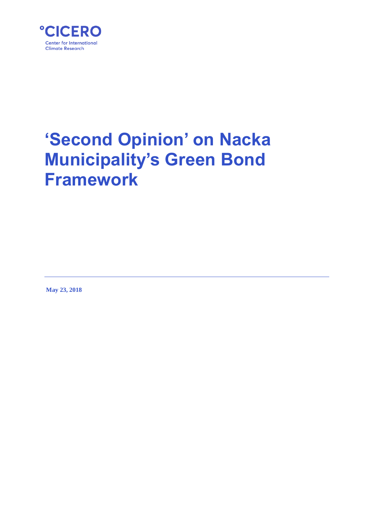

# **'Second Opinion' on Nacka Municipality's Green Bond Framework**

**May 23, 2018**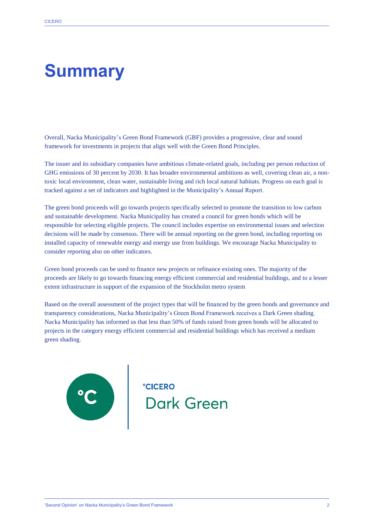## **Summary**

Overall, Nacka Municipality's Green Bond Framework (GBF) provides a progressive, clear and sound framework for investments in projects that align well with the Green Bond Principles.

The issuer and its subsidiary companies have ambitious climate-related goals, including per person reduction of GHG emissions of 30 percent by 2030. It has broader environmental ambitions as well, covering clean air, a nontoxic local environment, clean water, sustainable living and rich local natural habitats. Progress on each goal is tracked against a set of indicators and highlighted in the Municipality's Annual Report.

The green bond proceeds will go towards projects specifically selected to promote the transition to low carbon and sustainable development. Nacka Municipality has created a council for green bonds which will be responsible for selecting eligible projects. The council includes expertise on environmental issues and selection decisions will be made by consensus. There will be annual reporting on the green bond, including reporting on installed capacity of renewable energy and energy use from buildings. We encourage Nacka Municipality to consider reporting also on other indicators.

Green bond proceeds can be used to finance new projects or refinance existing ones. The majority of the proceeds are likely to go towards financing energy efficient commercial and residential buildings, and to a lesser extent infrastructure in support of the expansion of the Stockholm metro system

Based on the overall assessment of the project types that will be financed by the green bonds and governance and transparency considerations, Nacka Municipality's Green Bond Framework receives a Dark Green shading. Nacka Municipality has informed us that less than 50% of funds raised from green bonds will be allocated to projects in the category energy efficient commercial and residential buildings which has received a medium green shading.

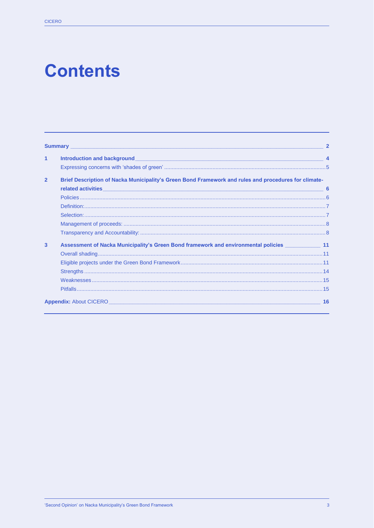## **Contents**

|                | <b>Summary Example 2008 Contract Contract 2008 Contract Contract Contract 2008</b>                                                          | $\overline{2}$ |
|----------------|---------------------------------------------------------------------------------------------------------------------------------------------|----------------|
| 1              |                                                                                                                                             |                |
|                |                                                                                                                                             |                |
| $\overline{2}$ | Brief Description of Nacka Municipality's Green Bond Framework and rules and procedures for climate-                                        |                |
|                | related activities<br><u> 1989 - Johann John Stone, markin film yn y brenin ymgyr y gyfer y gyfer y gyfer y gyfer y gyfer y gyfer y gyf</u> |                |
|                |                                                                                                                                             |                |
|                |                                                                                                                                             |                |
|                |                                                                                                                                             |                |
|                |                                                                                                                                             |                |
|                |                                                                                                                                             |                |
| 3              | Assessment of Nacka Municipality's Green Bond framework and environmental policies _____________ 11                                         |                |
|                |                                                                                                                                             |                |
|                |                                                                                                                                             |                |
|                |                                                                                                                                             |                |
|                |                                                                                                                                             |                |
|                |                                                                                                                                             |                |
|                | <b>Appendix:</b> About CICERO <b>Appendix:</b> About CICERO                                                                                 | 16             |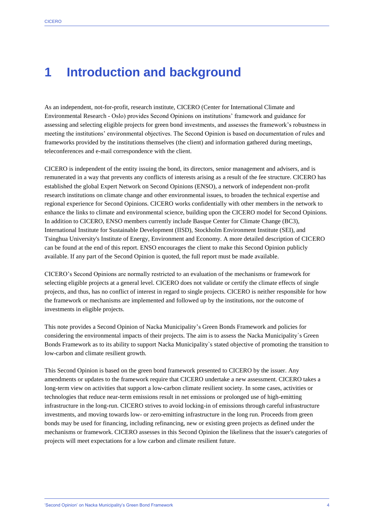### **1 Introduction and background**

As an independent, not-for-profit, research institute, CICERO (Center for International Climate and Environmental Research - Oslo) provides Second Opinions on institutions' framework and guidance for assessing and selecting eligible projects for green bond investments, and assesses the framework's robustness in meeting the institutions' environmental objectives. The Second Opinion is based on documentation of rules and frameworks provided by the institutions themselves (the client) and information gathered during meetings, teleconferences and e-mail correspondence with the client.

CICERO is independent of the entity issuing the bond, its directors, senior management and advisers, and is remunerated in a way that prevents any conflicts of interests arising as a result of the fee structure. CICERO has established the global Expert Network on Second Opinions (ENSO), a network of independent non-profit research institutions on climate change and other environmental issues, to broaden the technical expertise and regional experience for Second Opinions. CICERO works confidentially with other members in the network to enhance the links to climate and environmental science, building upon the CICERO model for Second Opinions. In addition to CICERO, ENSO members currently include Basque Center for Climate Change (BC3), International Institute for Sustainable Development (IISD), Stockholm Environment Institute (SEI), and Tsinghua University's Institute of Energy, Environment and Economy. A more detailed description of CICERO can be found at the end of this report. ENSO encourages the client to make this Second Opinion publicly available. If any part of the Second Opinion is quoted, the full report must be made available.

CICERO's Second Opinions are normally restricted to an evaluation of the mechanisms or framework for selecting eligible projects at a general level. CICERO does not validate or certify the climate effects of single projects, and thus, has no conflict of interest in regard to single projects. CICERO is neither responsible for how the framework or mechanisms are implemented and followed up by the institutions, nor the outcome of investments in eligible projects.

This note provides a Second Opinion of Nacka Municipality's Green Bonds Framework and policies for considering the environmental impacts of their projects. The aim is to assess the Nacka Municipality`s Green Bonds Framework as to its ability to support Nacka Municipality`s stated objective of promoting the transition to low-carbon and climate resilient growth.

This Second Opinion is based on the green bond framework presented to CICERO by the issuer. Any amendments or updates to the framework require that CICERO undertake a new assessment. CICERO takes a long-term view on activities that support a low-carbon climate resilient society. In some cases, activities or technologies that reduce near-term emissions result in net emissions or prolonged use of high-emitting infrastructure in the long-run. CICERO strives to avoid locking-in of emissions through careful infrastructure investments, and moving towards low- or zero-emitting infrastructure in the long run. Proceeds from green bonds may be used for financing, including refinancing, new or existing green projects as defined under the mechanisms or framework. CICERO assesses in this Second Opinion the likeliness that the issuer's categories of projects will meet expectations for a low carbon and climate resilient future.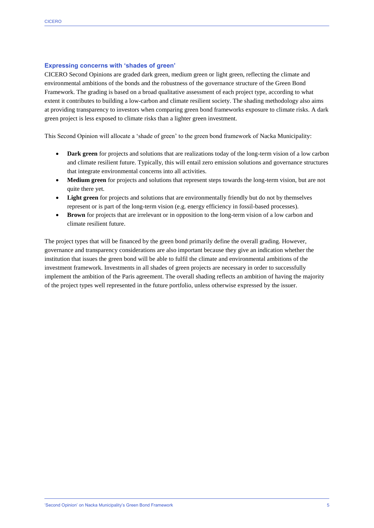#### **Expressing concerns with 'shades of green'**

CICERO Second Opinions are graded dark green, medium green or light green, reflecting the climate and environmental ambitions of the bonds and the robustness of the governance structure of the Green Bond Framework. The grading is based on a broad qualitative assessment of each project type, according to what extent it contributes to building a low-carbon and climate resilient society. The shading methodology also aims at providing transparency to investors when comparing green bond frameworks exposure to climate risks. A dark green project is less exposed to climate risks than a lighter green investment.

This Second Opinion will allocate a 'shade of green' to the green bond framework of Nacka Municipality:

- **Dark green** for projects and solutions that are realizations today of the long-term vision of a low carbon and climate resilient future. Typically, this will entail zero emission solutions and governance structures that integrate environmental concerns into all activities.
- **Medium green** for projects and solutions that represent steps towards the long-term vision, but are not quite there yet.
- **Light green** for projects and solutions that are environmentally friendly but do not by themselves represent or is part of the long-term vision (e.g. energy efficiency in fossil-based processes).
- **Brown** for projects that are irrelevant or in opposition to the long-term vision of a low carbon and climate resilient future.

The project types that will be financed by the green bond primarily define the overall grading. However, governance and transparency considerations are also important because they give an indication whether the institution that issues the green bond will be able to fulfil the climate and environmental ambitions of the investment framework. Investments in all shades of green projects are necessary in order to successfully implement the ambition of the Paris agreement. The overall shading reflects an ambition of having the majority of the project types well represented in the future portfolio, unless otherwise expressed by the issuer.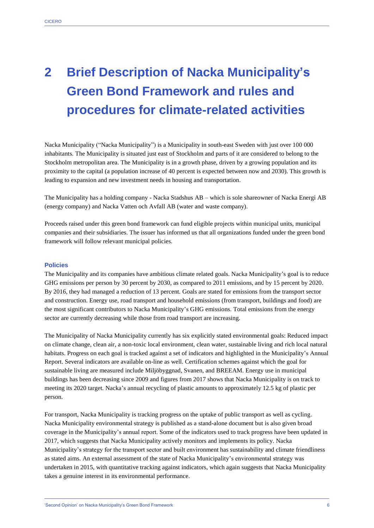## **2 Brief Description of Nacka Municipality's Green Bond Framework and rules and procedures for climate-related activities**

Nacka Municipality ("Nacka Municipality") is a Municipality in south-east Sweden with just over 100 000 inhabitants. The Municipality is situated just east of Stockholm and parts of it are considered to belong to the Stockholm metropolitan area. The Municipality is in a growth phase, driven by a growing population and its proximity to the capital (a population increase of 40 percent is expected between now and 2030). This growth is leading to expansion and new investment needs in housing and transportation.

The Municipality has a holding company - Nacka Stadshus AB – which is sole shareowner of Nacka Energi AB (energy company) and Nacka Vatten och Avfall AB (water and waste company).

Proceeds raised under this green bond framework can fund eligible projects within municipal units, municipal companies and their subsidiaries. The issuer has informed us that all organizations funded under the green bond framework will follow relevant municipal policies.

#### **Policies**

The Municipality and its companies have ambitious climate related goals. Nacka Municipality's goal is to reduce GHG emissions per person by 30 percent by 2030, as compared to 2011 emissions, and by 15 percent by 2020. By 2016, they had managed a reduction of 13 percent. Goals are stated for emissions from the transport sector and construction. Energy use, road transport and household emissions (from transport, buildings and food) are the most significant contributors to Nacka Municipality's GHG emissions. Total emissions from the energy sector are currently decreasing while those from road transport are increasing.

The Municipality of Nacka Municipality currently has six explicitly stated environmental goals: Reduced impact on climate change, clean air, a non-toxic local environment, clean water, sustainable living and rich local natural habitats. Progress on each goal is tracked against a set of indicators and highlighted in the Municipality's Annual Report. Several indicators are available on-line as well. Certification schemes against which the goal for sustainable living are measured include Miljöbyggnad, Svanen, and BREEAM. Energy use in municipal buildings has been decreasing since 2009 and figures from 2017 shows that Nacka Municipality is on track to meeting its 2020 target. Nacka's annual recycling of plastic amounts to approximately 12.5 kg of plastic per person.

For transport, Nacka Municipality is tracking progress on the uptake of public transport as well as cycling. Nacka Municipality environmental strategy is published as a stand-alone document but is also given broad coverage in the Municipality's annual report. Some of the indicators used to track progress have been updated in 2017, which suggests that Nacka Municipality actively monitors and implements its policy. Nacka Municipality's strategy for the transport sector and built environment has sustainability and climate friendliness as stated aims. An external assessment of the state of Nacka Municipality's environmental strategy was undertaken in 2015, with quantitative tracking against indicators, which again suggests that Nacka Municipality takes a genuine interest in its environmental performance.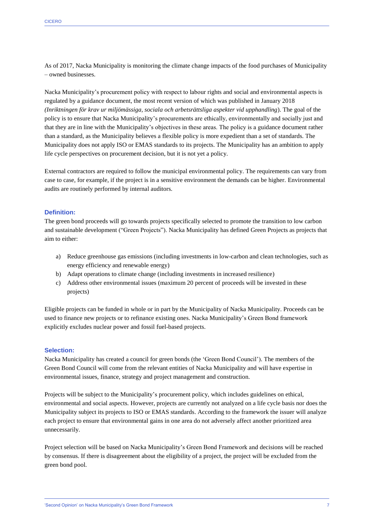As of 2017, Nacka Municipality is monitoring the climate change impacts of the food purchases of Municipality – owned businesses.

Nacka Municipality's procurement policy with respect to labour rights and social and environmental aspects is regulated by a guidance document, the most recent version of which was published in January 2018 *(Inriktningen för krav ur miljömässiga, sociala och arbetsrättsliga aspekter vid upphandling*). The goal of the policy is to ensure that Nacka Municipality's procurements are ethically, environmentally and socially just and that they are in line with the Municipality's objectives in these areas. The policy is a guidance document rather than a standard, as the Municipality believes a flexible policy is more expedient than a set of standards. The Municipality does not apply ISO or EMAS standards to its projects. The Municipality has an ambition to apply life cycle perspectives on procurement decision, but it is not yet a policy.

External contractors are required to follow the municipal environmental policy. The requirements can vary from case to case, for example, if the project is in a sensitive environment the demands can be higher. Environmental audits are routinely performed by internal auditors.

#### **Definition:**

The green bond proceeds will go towards projects specifically selected to promote the transition to low carbon and sustainable development ("Green Projects"). Nacka Municipality has defined Green Projects as projects that aim to either:

- a) Reduce greenhouse gas emissions (including investments in low-carbon and clean technologies, such as energy efficiency and renewable energy)
- b) Adapt operations to climate change (including investments in increased resilience)
- c) Address other environmental issues (maximum 20 percent of proceeds will be invested in these projects)

Eligible projects can be funded in whole or in part by the Municipality of Nacka Municipality. Proceeds can be used to finance new projects or to refinance existing ones. Nacka Municipality's Green Bond framework explicitly excludes nuclear power and fossil fuel-based projects.

#### **Selection:**

Nacka Municipality has created a council for green bonds (the 'Green Bond Council'). The members of the Green Bond Council will come from the relevant entities of Nacka Municipality and will have expertise in environmental issues, finance, strategy and project management and construction.

Projects will be subject to the Municipality's procurement policy, which includes guidelines on ethical, environmental and social aspects. However, projects are currently not analyzed on a life cycle basis nor does the Municipality subject its projects to ISO or EMAS standards. According to the framework the issuer will analyze each project to ensure that environmental gains in one area do not adversely affect another prioritized area unnecessarily.

Project selection will be based on Nacka Municipality's Green Bond Framework and decisions will be reached by consensus. If there is disagreement about the eligibility of a project, the project will be excluded from the green bond pool.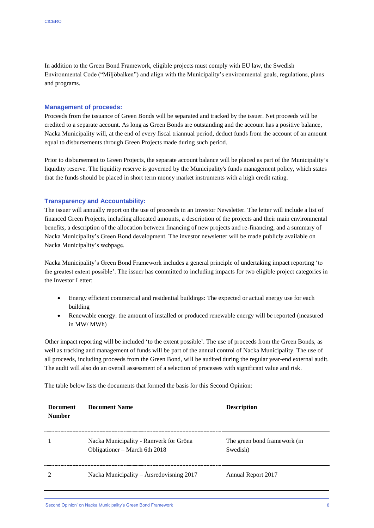In addition to the Green Bond Framework, eligible projects must comply with EU law, the Swedish Environmental Code ("Miljöbalken") and align with the Municipality's environmental goals, regulations, plans and programs.

#### **Management of proceeds:**

Proceeds from the issuance of Green Bonds will be separated and tracked by the issuer. Net proceeds will be credited to a separate account. As long as Green Bonds are outstanding and the account has a positive balance, Nacka Municipality will, at the end of every fiscal triannual period, deduct funds from the account of an amount equal to disbursements through Green Projects made during such period.

Prior to disbursement to Green Projects, the separate account balance will be placed as part of the Municipality's liquidity reserve. The liquidity reserve is governed by the Municipality's funds management policy, which states that the funds should be placed in short term money market instruments with a high credit rating.

#### **Transparency and Accountability:**

The issuer will annually report on the use of proceeds in an Investor Newsletter. The letter will include a list of financed Green Projects, including allocated amounts, a description of the projects and their main environmental benefits, a description of the allocation between financing of new projects and re-financing, and a summary of Nacka Municipality's Green Bond development. The investor newsletter will be made publicly available on Nacka Municipality's webpage.

Nacka Municipality's Green Bond Framework includes a general principle of undertaking impact reporting 'to the greatest extent possible'. The issuer has committed to including impacts for two eligible project categories in the Investor Letter:

- Energy efficient commercial and residential buildings: The expected or actual energy use for each building
- Renewable energy: the amount of installed or produced renewable energy will be reported (measured in MW/ MWh)

Other impact reporting will be included 'to the extent possible'. The use of proceeds from the Green Bonds, as well as tracking and management of funds will be part of the annual control of Nacka Municipality. The use of all proceeds, including proceeds from the Green Bond, will be audited during the regular year-end external audit. The audit will also do an overall assessment of a selection of processes with significant value and risk.

The table below lists the documents that formed the basis for this Second Opinion:

| <b>Document</b><br><b>Number</b> | Document Name                                                           | <b>Description</b>                       |
|----------------------------------|-------------------------------------------------------------------------|------------------------------------------|
|                                  | Nacka Municipality - Ramverk för Gröna<br>Obligationer – March 6th 2018 | The green bond framework (in<br>Swedish) |
|                                  | Nacka Municipality – Årsredovisning 2017                                | Annual Report 2017                       |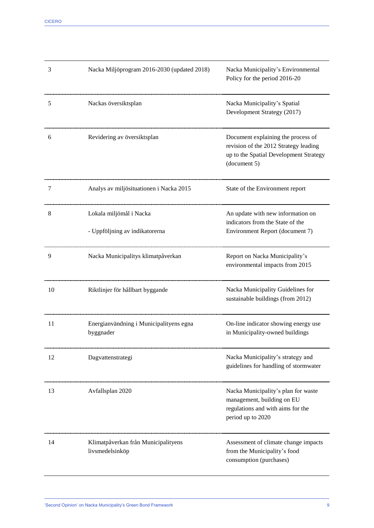| 3  | Nacka Miljöprogram 2016-2030 (updated 2018)            | Nacka Municipality's Environmental<br>Policy for the period 2016-20                                                                   |
|----|--------------------------------------------------------|---------------------------------------------------------------------------------------------------------------------------------------|
| 5  | Nackas översiktsplan                                   | Nacka Municipality's Spatial<br>Development Strategy (2017)                                                                           |
| 6  | Revidering av översiktsplan                            | Document explaining the process of<br>revision of the 2012 Strategy leading<br>up to the Spatial Development Strategy<br>(document 5) |
| 7  | Analys av miljösituationen i Nacka 2015                | State of the Environment report                                                                                                       |
| 8  | Lokala miljömål i Nacka                                | An update with new information on<br>indicators from the State of the                                                                 |
|    | - Uppföljning av indikatorerna                         | Environment Report (document 7)                                                                                                       |
| 9  | Nacka Municipalitys klimatpåverkan                     | Report on Nacka Municipality's<br>environmental impacts from 2015                                                                     |
| 10 | Riktlinjer för hållbart byggande                       | Nacka Municipality Guidelines for<br>sustainable buildings (from 2012)                                                                |
| 11 | Energianvändning i Municipalityens egna<br>byggnader   | On-line indicator showing energy use<br>in Municipality-owned buildings                                                               |
| 12 | Dagvattenstrategi                                      | Nacka Municipality's strategy and<br>guidelines for handling of stormwater                                                            |
| 13 | Avfallsplan 2020                                       | Nacka Municipality's plan for waste<br>management, building on EU<br>regulations and with aims for the<br>period up to 2020           |
| 14 | Klimatpåverkan från Municipalityens<br>livsmedelsinköp | Assessment of climate change impacts<br>from the Municipality's food<br>consumption (purchases)                                       |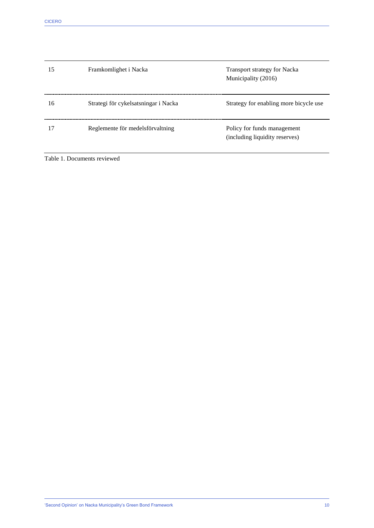| 15 | Framkomlighet i Nacka                | <b>Transport strategy for Nacka</b><br>Municipality (2016)    |
|----|--------------------------------------|---------------------------------------------------------------|
| 16 | Strategi för cykelsatsningar i Nacka | Strategy for enabling more bicycle use                        |
| 17 | Reglemente för medelsförvaltning     | Policy for funds management<br>(including liquidity reserves) |

Table 1. Documents reviewed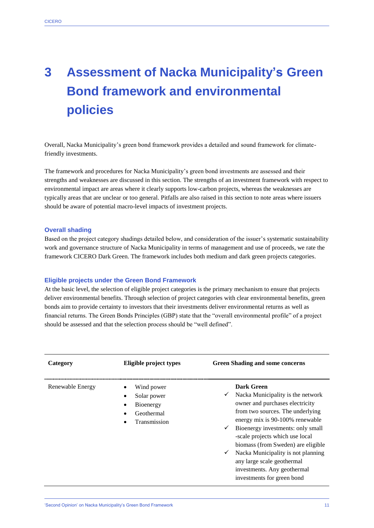### **3 Assessment of Nacka Municipality's Green Bond framework and environmental policies**

Overall, Nacka Municipality's green bond framework provides a detailed and sound framework for climatefriendly investments.

The framework and procedures for Nacka Municipality's green bond investments are assessed and their strengths and weaknesses are discussed in this section. The strengths of an investment framework with respect to environmental impact are areas where it clearly supports low-carbon projects, whereas the weaknesses are typically areas that are unclear or too general. Pitfalls are also raised in this section to note areas where issuers should be aware of potential macro-level impacts of investment projects.

#### **Overall shading**

Based on the project category shadings detailed below, and consideration of the issuer's systematic sustainability work and governance structure of Nacka Municipality in terms of management and use of proceeds, we rate the framework CICERO Dark Green. The framework includes both medium and dark green projects categories.

#### **Eligible projects under the Green Bond Framework**

At the basic level, the selection of eligible project categories is the primary mechanism to ensure that projects deliver environmental benefits. Through selection of project categories with clear environmental benefits, green bonds aim to provide certainty to investors that their investments deliver environmental returns as well as financial returns. The Green Bonds Principles (GBP) state that the "overall environmental profile" of a project should be assessed and that the selection process should be "well defined".

| Category         | Eligible project types                                                                      | <b>Green Shading and some concerns</b>                                                                                                                                                                                                                                                                                                                                                                                                        |
|------------------|---------------------------------------------------------------------------------------------|-----------------------------------------------------------------------------------------------------------------------------------------------------------------------------------------------------------------------------------------------------------------------------------------------------------------------------------------------------------------------------------------------------------------------------------------------|
| Renewable Energy | Wind power<br>$\bullet$<br>Solar power<br>٠<br>Bioenergy<br>٠<br>Geothermal<br>Transmission | Dark Green<br>Nacka Municipality is the network<br>$\checkmark$<br>owner and purchases electricity<br>from two sources. The underlying<br>energy mix is 90-100% renewable<br>Bioenergy investments: only small<br>$\checkmark$<br>-scale projects which use local<br>biomass (from Sweden) are eligible<br>Nacka Municipality is not planning<br>✓<br>any large scale geothermal<br>investments. Any geothermal<br>investments for green bond |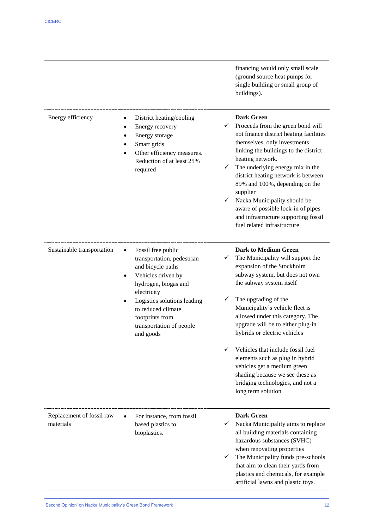|                                        |                                                                                                                                                                                                                                                                  | financing would only small scale<br>(ground source heat pumps for<br>single building or small group of<br>buildings).                                                                                                                                                                                                                                                                                                                                                                                                                      |
|----------------------------------------|------------------------------------------------------------------------------------------------------------------------------------------------------------------------------------------------------------------------------------------------------------------|--------------------------------------------------------------------------------------------------------------------------------------------------------------------------------------------------------------------------------------------------------------------------------------------------------------------------------------------------------------------------------------------------------------------------------------------------------------------------------------------------------------------------------------------|
| Energy efficiency                      | District heating/cooling<br>$\bullet$<br>Energy recovery<br>٠<br>Energy storage<br>Smart grids<br>Other efficiency measures.<br>$\bullet$<br>Reduction of at least 25%<br>required                                                                               | <b>Dark Green</b><br>Proceeds from the green bond will<br>✓<br>not finance district heating facilities<br>themselves, only investments<br>linking the buildings to the district<br>heating network.<br>The underlying energy mix in the<br>✓<br>district heating network is between<br>89% and 100%, depending on the<br>supplier<br>Nacka Municipality should be<br>✓<br>aware of possible lock-in of pipes<br>and infrastructure supporting fossil<br>fuel related infrastructure                                                        |
| Sustainable transportation             | Fossil free public<br>$\bullet$<br>transportation, pedestrian<br>and bicycle paths<br>Vehicles driven by<br>hydrogen, biogas and<br>electricity<br>Logistics solutions leading<br>to reduced climate<br>footprints from<br>transportation of people<br>and goods | <b>Dark to Medium Green</b><br>The Municipality will support the<br>✓<br>expansion of the Stockholm<br>subway system, but does not own<br>the subway system itself<br>The upgrading of the<br>Municipality's vehicle fleet is<br>allowed under this category. The<br>upgrade will be to either plug-in<br>hybrids or electric vehicles<br>Vehicles that include fossil fuel<br>elements such as plug in hybrid<br>vehicles get a medium green<br>shading because we see these as<br>bridging technologies, and not a<br>long term solution |
| Replacement of fossil raw<br>materials | For instance, from fossil<br>based plastics to<br>bioplastics.                                                                                                                                                                                                   | <b>Dark Green</b><br>Nacka Municipality aims to replace<br>✓<br>all building materials containing<br>hazardous substances (SVHC)<br>when renovating properties<br>The Municipality funds pre-schools<br>✓<br>that aim to clean their yards from<br>plastics and chemicals, for example<br>artificial lawns and plastic toys.                                                                                                                                                                                                               |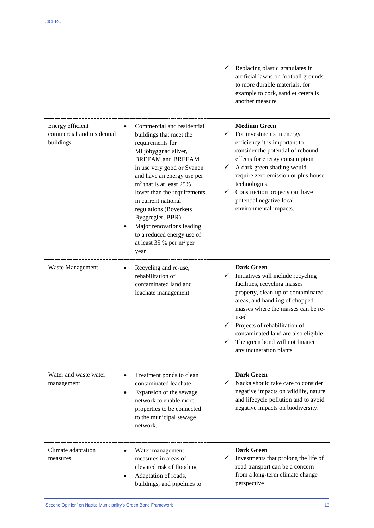|                                                             |                                                                                                                                                                                                                                                                                                                                                                                                                                     | Replacing plastic granulates in<br>artificial lawns on football grounds<br>to more durable materials, for<br>example to cork, sand et cetera is<br>another measure                                                                                                                                                                                    |
|-------------------------------------------------------------|-------------------------------------------------------------------------------------------------------------------------------------------------------------------------------------------------------------------------------------------------------------------------------------------------------------------------------------------------------------------------------------------------------------------------------------|-------------------------------------------------------------------------------------------------------------------------------------------------------------------------------------------------------------------------------------------------------------------------------------------------------------------------------------------------------|
| Energy efficient<br>commercial and residential<br>buildings | Commercial and residential<br>buildings that meet the<br>requirements for<br>Miljöbyggnad silver,<br><b>BREEAM</b> and <b>BREEAM</b><br>in use very good or Svanen<br>and have an energy use per<br>$m2$ that is at least 25%<br>lower than the requirements<br>in current national<br>regulations (Boverkets<br>Byggregler, BBR)<br>Major renovations leading<br>to a reduced energy use of<br>at least 35 % per $m^2$ per<br>year | <b>Medium Green</b><br>For investments in energy<br>✓<br>efficiency it is important to<br>consider the potential of rebound<br>effects for energy consumption<br>A dark green shading would<br>✓<br>require zero emission or plus house<br>technologies.<br>Construction projects can have<br>✓<br>potential negative local<br>environmental impacts. |
| Waste Management                                            | Recycling and re-use,<br>rehabilitation of<br>contaminated land and<br>leachate management                                                                                                                                                                                                                                                                                                                                          | <b>Dark Green</b><br>Initiatives will include recycling<br>facilities, recycling masses<br>property, clean-up of contaminated<br>areas, and handling of chopped<br>masses where the masses can be re-<br>used<br>Projects of rehabilitation of<br>contaminated land are also eligible<br>The green bond will not finance<br>any incineration plants   |
| Water and waste water<br>management                         | Treatment ponds to clean<br>$\bullet$<br>contaminated leachate<br>Expansion of the sewage<br>network to enable more<br>properties to be connected<br>to the municipal sewage<br>network.                                                                                                                                                                                                                                            | <b>Dark Green</b><br>Nacka should take care to consider<br>negative impacts on wildlife, nature<br>and lifecycle pollution and to avoid<br>negative impacts on biodiversity.                                                                                                                                                                          |
| Climate adaptation<br>measures                              | Water management<br>measures in areas of<br>elevated risk of flooding<br>Adaptation of roads,<br>buildings, and pipelines to                                                                                                                                                                                                                                                                                                        | <b>Dark Green</b><br>Investments that prolong the life of<br>road transport can be a concern<br>from a long-term climate change<br>perspective                                                                                                                                                                                                        |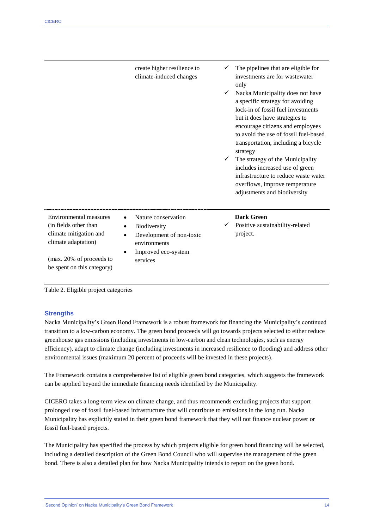|                                                                                                                                                            | create higher resilience to<br>climate-induced changes                                                                          | The pipelines that are eligible for<br>investments are for wastewater<br>only<br>Nacka Municipality does not have<br>a specific strategy for avoiding<br>lock-in of fossil fuel investments<br>but it does have strategies to<br>encourage citizens and employees<br>to avoid the use of fossil fuel-based<br>transportation, including a bicycle<br>strategy<br>The strategy of the Municipality<br>✓<br>includes increased use of green<br>infrastructure to reduce waste water<br>overflows, improve temperature<br>adjustments and biodiversity |
|------------------------------------------------------------------------------------------------------------------------------------------------------------|---------------------------------------------------------------------------------------------------------------------------------|-----------------------------------------------------------------------------------------------------------------------------------------------------------------------------------------------------------------------------------------------------------------------------------------------------------------------------------------------------------------------------------------------------------------------------------------------------------------------------------------------------------------------------------------------------|
| Environmental measures<br>(in fields other than<br>climate mitigation and<br>climate adaptation)<br>(max. 20% of proceeds to<br>be spent on this category) | Nature conservation<br>$\bullet$<br>Biodiversity<br>Development of non-toxic<br>environments<br>Improved eco-system<br>services | <b>Dark Green</b><br>Positive sustainability-related<br>project.                                                                                                                                                                                                                                                                                                                                                                                                                                                                                    |

Table 2. Eligible project categories

#### **Strengths**

Nacka Municipality's Green Bond Framework is a robust framework for financing the Municipality's continued transition to a low-carbon economy. The green bond proceeds will go towards projects selected to either reduce greenhouse gas emissions (including investments in low-carbon and clean technologies, such as energy efficiency), adapt to climate change (including investments in increased resilience to flooding) and address other environmental issues (maximum 20 percent of proceeds will be invested in these projects).

The Framework contains a comprehensive list of eligible green bond categories, which suggests the framework can be applied beyond the immediate financing needs identified by the Municipality.

CICERO takes a long-term view on climate change, and thus recommends excluding projects that support prolonged use of fossil fuel-based infrastructure that will contribute to emissions in the long run. Nacka Municipality has explicitly stated in their green bond framework that they will not finance nuclear power or fossil fuel-based projects.

The Municipality has specified the process by which projects eligible for green bond financing will be selected, including a detailed description of the Green Bond Council who will supervise the management of the green bond. There is also a detailed plan for how Nacka Municipality intends to report on the green bond.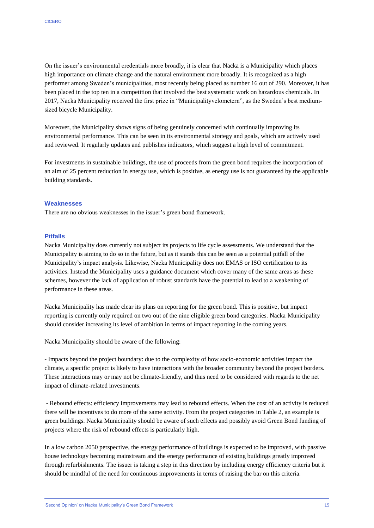On the issuer's environmental credentials more broadly, it is clear that Nacka is a Municipality which places high importance on climate change and the natural environment more broadly. It is recognized as a high performer among Sweden's municipalities, most recently being placed as number 16 out of 290. Moreover, it has been placed in the top ten in a competition that involved the best systematic work on hazardous chemicals. In 2017, Nacka Municipality received the first prize in "Municipalityvelometern", as the Sweden's best mediumsized bicycle Municipality.

Moreover, the Municipality shows signs of being genuinely concerned with continually improving its environmental performance. This can be seen in its environmental strategy and goals, which are actively used and reviewed. It regularly updates and publishes indicators, which suggest a high level of commitment.

For investments in sustainable buildings, the use of proceeds from the green bond requires the incorporation of an aim of 25 percent reduction in energy use, which is positive, as energy use is not guaranteed by the applicable building standards.

#### **Weaknesses**

There are no obvious weaknesses in the issuer's green bond framework.

#### **Pitfalls**

Nacka Municipality does currently not subject its projects to life cycle assessments. We understand that the Municipality is aiming to do so in the future, but as it stands this can be seen as a potential pitfall of the Municipality's impact analysis. Likewise, Nacka Municipality does not EMAS or ISO certification to its activities. Instead the Municipality uses a guidance document which cover many of the same areas as these schemes, however the lack of application of robust standards have the potential to lead to a weakening of performance in these areas.

Nacka Municipality has made clear its plans on reporting for the green bond. This is positive, but impact reporting is currently only required on two out of the nine eligible green bond categories. Nacka Municipality should consider increasing its level of ambition in terms of impact reporting in the coming years.

Nacka Municipality should be aware of the following:

- Impacts beyond the project boundary: due to the complexity of how socio-economic activities impact the climate, a specific project is likely to have interactions with the broader community beyond the project borders. These interactions may or may not be climate-friendly, and thus need to be considered with regards to the net impact of climate-related investments.

- Rebound effects: efficiency improvements may lead to rebound effects. When the cost of an activity is reduced there will be incentives to do more of the same activity. From the project categories in Table 2, an example is green buildings. Nacka Municipality should be aware of such effects and possibly avoid Green Bond funding of projects where the risk of rebound effects is particularly high.

In a low carbon 2050 perspective, the energy performance of buildings is expected to be improved, with passive house technology becoming mainstream and the energy performance of existing buildings greatly improved through refurbishments. The issuer is taking a step in this direction by including energy efficiency criteria but it should be mindful of the need for continuous improvements in terms of raising the bar on this criteria.